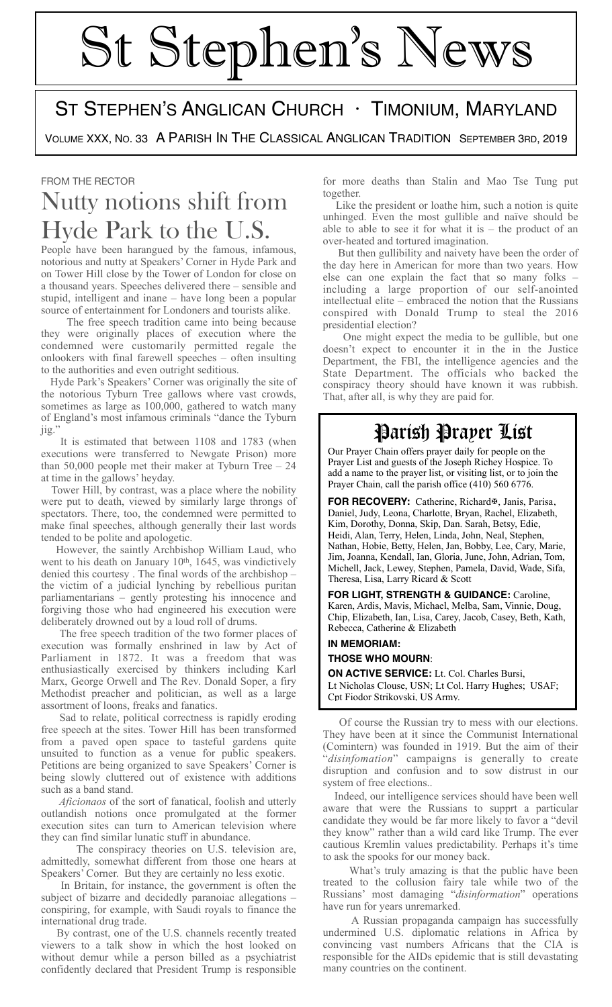# St Stephen's News

## ST STEPHEN'S ANGLICAN CHURCH · TIMONIUM, MARYLAND

VOLUME XXX, NO. 33 A PARISH IN THE CLASSICAL ANGLICAN TRADITION SEPTEMBER 3RD, 2019

#### FROM THE RECTOR

## Nutty notions shift from Hyde Park to the U.S.

People have been harangued by the famous, infamous, notorious and nutty at Speakers' Corner in Hyde Park and on Tower Hill close by the Tower of London for close on a thousand years. Speeches delivered there – sensible and stupid, intelligent and inane – have long been a popular source of entertainment for Londoners and tourists alike.

 The free speech tradition came into being because they were originally places of execution where the condemned were customarily permitted regale the onlookers with final farewell speeches – often insulting to the authorities and even outright seditious.

 Hyde Park's Speakers' Corner was originally the site of the notorious Tyburn Tree gallows where vast crowds, sometimes as large as 100,000, gathered to watch many of England's most infamous criminals "dance the Tyburn jig.

 It is estimated that between 1108 and 1783 (when executions were transferred to Newgate Prison) more than 50,000 people met their maker at Tyburn Tree – 24 at time in the gallows' heyday.

 Tower Hill, by contrast, was a place where the nobility were put to death, viewed by similarly large throngs of spectators. There, too, the condemned were permitted to make final speeches, although generally their last words tended to be polite and apologetic.

 However, the saintly Archbishop William Laud, who went to his death on January 10<sup>th</sup>, 1645, was vindictively denied this courtesy . The final words of the archbishop – the victim of a judicial lynching by rebellious puritan parliamentarians – gently protesting his innocence and forgiving those who had engineered his execution were deliberately drowned out by a loud roll of drums.

 The free speech tradition of the two former places of execution was formally enshrined in law by Act of Parliament in 1872. It was a freedom that was enthusiastically exercised by thinkers including Karl Marx, George Orwell and The Rev. Donald Soper, a firy Methodist preacher and politician, as well as a large assortment of loons, freaks and fanatics.

 Sad to relate, political correctness is rapidly eroding free speech at the sites. Tower Hill has been transformed from a paved open space to tasteful gardens quite unsuited to function as a venue for public speakers. Petitions are being organized to save Speakers' Corner is being slowly cluttered out of existence with additions such as a band stand.

 *Aficionaos* of the sort of fanatical, foolish and utterly outlandish notions once promulgated at the former execution sites can turn to American television where they can find similar lunatic stuff in abundance.

 The conspiracy theories on U.S. television are, admittedly, somewhat different from those one hears at Speakers' Corner. But they are certainly no less exotic.

 In Britain, for instance, the government is often the subject of bizarre and decidedly paranoiac allegations – conspiring, for example, with Saudi royals to finance the international drug trade.

 By contrast, one of the U.S. channels recently treated viewers to a talk show in which the host looked on without demur while a person billed as a psychiatrist confidently declared that President Trump is responsible

for more deaths than Stalin and Mao Tse Tung put together.

 Like the president or loathe him, such a notion is quite unhinged. Even the most gullible and naïve should be able to able to see it for what it is  $-$  the product of an over-heated and tortured imagination.

 But then gullibility and naivety have been the order of the day here in American for more than two years. How else can one explain the fact that so many folks – including a large proportion of our self-anointed intellectual elite – embraced the notion that the Russians conspired with Donald Trump to steal the 2016 presidential election?

 One might expect the media to be gullible, but one doesn't expect to encounter it in the in the Justice Department, the FBI, the intelligence agencies and the State Department. The officials who backed the conspiracy theory should have known it was rubbish. That, after all, is why they are paid for.

## Parish Prayer List

Our Prayer Chain offers prayer daily for people on the Prayer List and guests of the Joseph Richey Hospice. To add a name to the prayer list, or visiting list, or to join the Prayer Chain, call the parish office (410) 560 6776.

FOR RECOVERY: Catherine, Richard<sup>®</sup>, Janis, Parisa, Daniel, Judy, Leona, Charlotte, Bryan, Rachel, Elizabeth, Kim, Dorothy, Donna, Skip, Dan. Sarah, Betsy, Edie, Heidi, Alan, Terry, Helen, Linda, John, Neal, Stephen, Nathan, Hobie, Betty, Helen, Jan, Bobby, Lee, Cary, Marie, Jim, Joanna, Kendall, Ian, Gloria, June, John, Adrian, Tom, Michell, Jack, Lewey, Stephen, Pamela, David, Wade, Sifa, Theresa, Lisa, Larry Ricard & Scott

**FOR LIGHT, STRENGTH & GUIDANCE:** Caroline, Karen, Ardis, Mavis, Michael, Melba, Sam, Vinnie, Doug, Chip, Elizabeth, Ian, Lisa, Carey, Jacob, Casey, Beth, Kath, Rebecca, Catherine & Elizabeth

### **IN MEMORIAM:**

#### **THOSE WHO MOURN**:

**ON ACTIVE SERVICE:** Lt. Col. Charles Bursi, Lt Nicholas Clouse, USN; Lt Col. Harry Hughes; USAF; Cpt Fiodor Strikovski, US Army.

 Of course the Russian try to mess with our elections. They have been at it since the Communist International (Comintern) was founded in 1919. But the aim of their "*disinfomation*" campaigns is generally to create disruption and confusion and to sow distrust in our system of free elections..

 Indeed, our intelligence services should have been well aware that were the Russians to supprt a particular candidate they would be far more likely to favor a "devil they know" rather than a wild card like Trump. The ever cautious Kremlin values predictability. Perhaps it's time to ask the spooks for our money back.

 What's truly amazing is that the public have been treated to the collusion fairy tale while two of the Russians' most damaging "*disinformation*" operations have run for years unremarked.

 A Russian propaganda campaign has successfully undermined U.S. diplomatic relations in Africa by convincing vast numbers Africans that the CIA is responsible for the AIDs epidemic that is still devastating many countries on the continent.